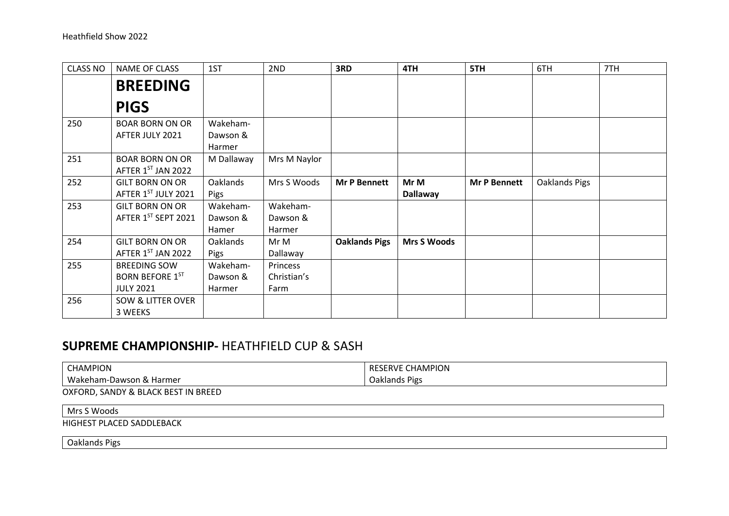| <b>CLASS NO</b> | <b>NAME OF CLASS</b>                                              | 1ST                            | 2ND                             | 3RD                  | 4TH                     | 5TH                 | 6TH           | 7TH |
|-----------------|-------------------------------------------------------------------|--------------------------------|---------------------------------|----------------------|-------------------------|---------------------|---------------|-----|
|                 | <b>BREEDING</b>                                                   |                                |                                 |                      |                         |                     |               |     |
|                 | <b>PIGS</b>                                                       |                                |                                 |                      |                         |                     |               |     |
| 250             | <b>BOAR BORN ON OR</b>                                            | Wakeham-                       |                                 |                      |                         |                     |               |     |
|                 | AFTER JULY 2021                                                   | Dawson &<br>Harmer             |                                 |                      |                         |                     |               |     |
| 251             | <b>BOAR BORN ON OR</b><br>AFTER 1ST JAN 2022                      | M Dallaway                     | Mrs M Naylor                    |                      |                         |                     |               |     |
| 252             | <b>GILT BORN ON OR</b><br>AFTER 1ST JULY 2021                     | Oaklands<br>Pigs               | Mrs S Woods                     | <b>Mr P Bennett</b>  | Mr M<br><b>Dallaway</b> | <b>Mr P Bennett</b> | Oaklands Pigs |     |
| 253             | <b>GILT BORN ON OR</b><br>AFTER 1ST SEPT 2021                     | Wakeham-<br>Dawson &<br>Hamer  | Wakeham-<br>Dawson &<br>Harmer  |                      |                         |                     |               |     |
| 254             | <b>GILT BORN ON OR</b><br>AFTER 1ST JAN 2022                      | Oaklands<br>Pigs               | Mr M<br>Dallaway                | <b>Oaklands Pigs</b> | <b>Mrs S Woods</b>      |                     |               |     |
| 255             | <b>BREEDING SOW</b><br><b>BORN BEFORE 1ST</b><br><b>JULY 2021</b> | Wakeham-<br>Dawson &<br>Harmer | Princess<br>Christian's<br>Farm |                      |                         |                     |               |     |
| 256             | <b>SOW &amp; LITTER OVER</b><br>3 WEEKS                           |                                |                                 |                      |                         |                     |               |     |

## SUPREME CHAMPIONSHIP- HEATHFIELD CUP & SASH

| <b>CHAMPION</b> | RESERVE CHAMPION |
|-----------------|------------------|
| Wakeham-Dawson  | Pigs             |
| ۱ & Harmer      | <b>Oaklands</b>  |

OXFORD, SANDY & BLACK BEST IN BREED

## Mrs S Woods

HIGHEST PLACED SADDLEBACK

Oaklands Pigs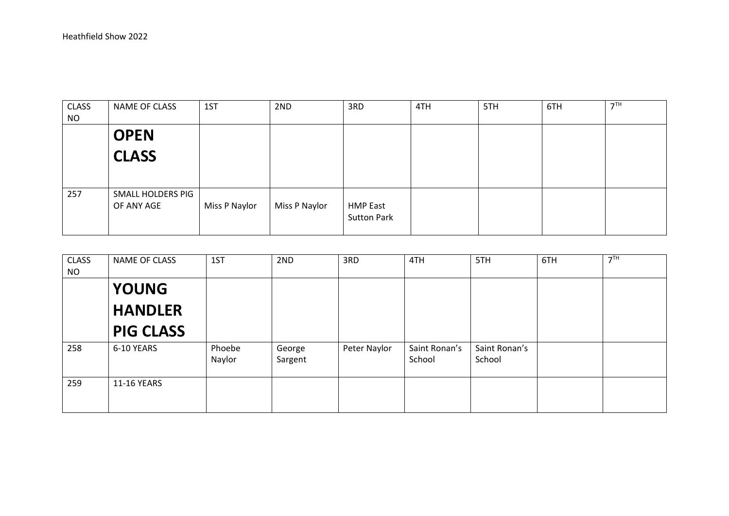| <b>CLASS</b><br><b>NO</b> | NAME OF CLASS                   | 1ST           | 2ND           | 3RD                                   | 4TH | 5TH | 6TH | 7 <sup>TH</sup> |
|---------------------------|---------------------------------|---------------|---------------|---------------------------------------|-----|-----|-----|-----------------|
|                           | <b>OPEN</b>                     |               |               |                                       |     |     |     |                 |
|                           | <b>CLASS</b>                    |               |               |                                       |     |     |     |                 |
|                           |                                 |               |               |                                       |     |     |     |                 |
| 257                       | SMALL HOLDERS PIG<br>OF ANY AGE | Miss P Naylor | Miss P Naylor | <b>HMP East</b><br><b>Sutton Park</b> |     |     |     |                 |

| <b>CLASS</b><br><b>NO</b> | <b>NAME OF CLASS</b> | 1ST              | 2ND               | 3RD          | 4TH                     | 5TH                     | 6TH | 7 <sup>TH</sup> |
|---------------------------|----------------------|------------------|-------------------|--------------|-------------------------|-------------------------|-----|-----------------|
|                           | <b>YOUNG</b>         |                  |                   |              |                         |                         |     |                 |
|                           | <b>HANDLER</b>       |                  |                   |              |                         |                         |     |                 |
|                           | <b>PIG CLASS</b>     |                  |                   |              |                         |                         |     |                 |
| 258                       | 6-10 YEARS           | Phoebe<br>Naylor | George<br>Sargent | Peter Naylor | Saint Ronan's<br>School | Saint Ronan's<br>School |     |                 |
| 259                       | 11-16 YEARS          |                  |                   |              |                         |                         |     |                 |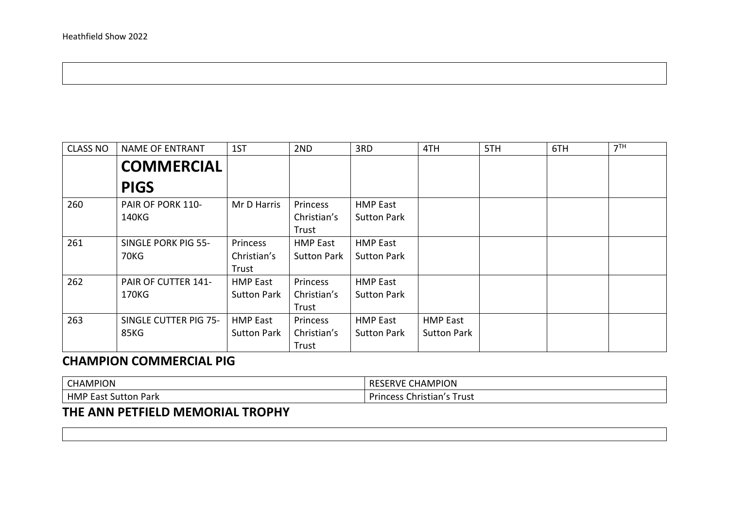| <b>CLASS NO</b> | <b>NAME OF ENTRANT</b> | 1ST                | 2ND                | 3RD                | 4TH                | 5TH | 6TH | 7 <sup>TH</sup> |
|-----------------|------------------------|--------------------|--------------------|--------------------|--------------------|-----|-----|-----------------|
|                 | <b>COMMERCIAL</b>      |                    |                    |                    |                    |     |     |                 |
|                 | <b>PIGS</b>            |                    |                    |                    |                    |     |     |                 |
| 260             | PAIR OF PORK 110-      | Mr D Harris        | Princess           | <b>HMP East</b>    |                    |     |     |                 |
|                 | 140KG                  |                    | Christian's        | <b>Sutton Park</b> |                    |     |     |                 |
|                 |                        |                    | Trust              |                    |                    |     |     |                 |
| 261             | SINGLE PORK PIG 55-    | Princess           | <b>HMP East</b>    | <b>HMP East</b>    |                    |     |     |                 |
|                 | 70KG                   | Christian's        | <b>Sutton Park</b> | <b>Sutton Park</b> |                    |     |     |                 |
|                 |                        | Trust              |                    |                    |                    |     |     |                 |
| 262             | PAIR OF CUTTER 141-    | <b>HMP East</b>    | Princess           | <b>HMP East</b>    |                    |     |     |                 |
|                 | 170KG                  | <b>Sutton Park</b> | Christian's        | <b>Sutton Park</b> |                    |     |     |                 |
|                 |                        |                    | Trust              |                    |                    |     |     |                 |
| 263             | SINGLE CUTTER PIG 75-  | <b>HMP East</b>    | Princess           | <b>HMP East</b>    | <b>HMP East</b>    |     |     |                 |
|                 | 85KG                   | <b>Sutton Park</b> | Christian's        | <b>Sutton Park</b> | <b>Sutton Park</b> |     |     |                 |
|                 |                        |                    | Trust              |                    |                    |     |     |                 |

## CHAMPION COMMERCIAL PIG

| <b>CHAMPION</b>                       | . CHAMPION<br>RESERVE           |
|---------------------------------------|---------------------------------|
| <b>HMP</b><br>: Sutton Park<br>cast s | Princess<br>: Christian's Trust |

## THE ANN PETFIELD MEMORIAL TROPHY